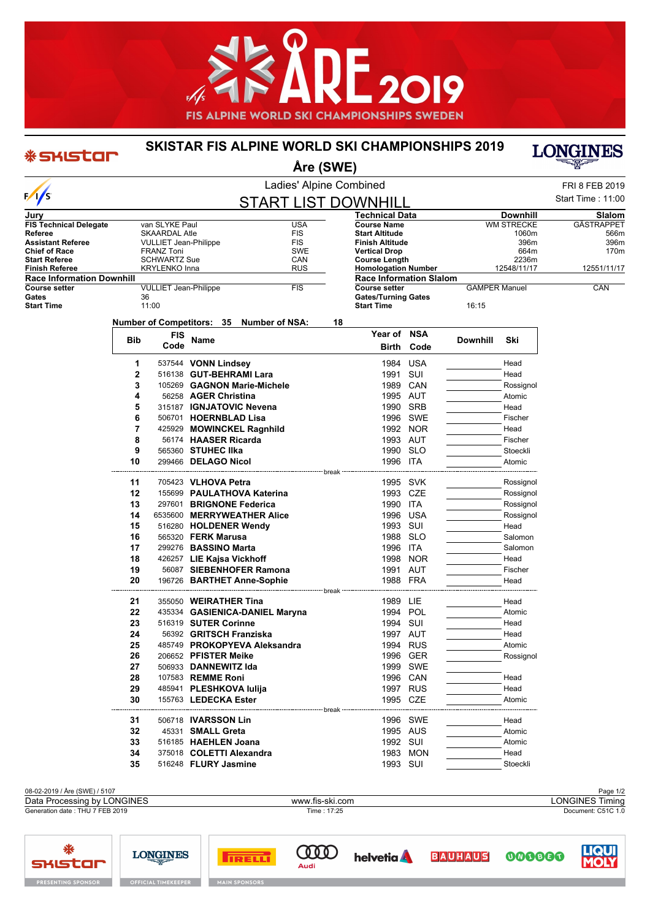

## **SKISTAR FIS ALPINE WORLD SKI CHAMPIONSHIPS 2019**

\* SKISTOR

₩

**SHISTAR** 

**PRESENTING SPONSOR** 

**LONGINES** 

**OFFICIAL TIMEKEEP** 



LIQUI

000000

| Ladies' Alpine Combined<br>$\sqrt{1/5}$<br><b>START LIST DOWNHILL</b><br>Technical Data<br><b>Downhill</b><br>Jury<br>van SLYKE Paul<br><b>USA</b><br><b>WM STRECKE</b><br><b>FIS Technical Delegate</b><br><b>Course Name</b><br><b>SKAARDAL Atle</b><br><b>FIS</b><br><b>Start Altitude</b><br>1060m<br>Referee<br><b>FIS</b><br><b>Finish Altitude</b><br>396m<br><b>Assistant Referee</b><br><b>VULLIET Jean-Philippe</b><br><b>Chief of Race</b><br>SWE<br><b>Vertical Drop</b><br>664m<br><b>FRANZ Toni</b><br><b>SCHWARTZ Sue</b><br><b>Start Referee</b><br>CAN<br><b>Course Length</b><br>2236m<br><b>RUS</b><br><b>Homologation Number</b><br>12548/11/17<br>Finish Referee<br><b>KRYLENKO Inna</b><br><b>Race Information Downhill</b><br><b>Race Information Slalom</b><br><b>FIS</b><br><b>GAMPER Manuel</b><br><b>Course setter</b><br><b>VULLIET Jean-Philippe</b><br><b>Course setter</b><br>Gates<br><b>Gates/Turning Gates</b><br>36<br>11:00<br><b>Start Time</b><br><b>Start Time</b><br>16:15<br>Number of Competitors: 35 Number of NSA:<br>18<br>Year of NSA<br>FIS<br><b>Bib</b><br><b>Name</b><br>Downhill<br>Ski<br>Code<br>Code<br>Birth<br>1984 USA<br>1<br>537544 VONN Lindsey<br>Head<br>SUI<br>2<br>1991<br>516138 GUT-BEHRAMI Lara<br>Head<br>3<br>105269 GAGNON Marie-Michele<br>1989<br>CAN<br>Rossignol<br>4<br>56258 AGER Christina<br>1995 AUT<br>Atomic<br>5<br>1990 SRB<br>315187 IGNJATOVIC Nevena<br>Head<br>6<br>1996 SWE<br>506701 HOERNBLAD Lisa<br>Fischer<br>7<br>425929 MOWINCKEL Ragnhild<br>1992 NOR<br>Head<br>8<br>1993 AUT<br>56174 HAASER Ricarda<br>Fischer<br>9<br>565360 STUHEC IIka<br>1990 SLO<br>Stoeckli<br>10<br>299466 DELAGO Nicol<br>1996 ITA<br>Atomic<br>----------------------- break<br>705423 VLHOVA Petra<br>1995 SVK<br>11<br>Rossignol<br>12<br>1993 CZE<br>155699 PAULATHOVA Katerina<br>Rossignol<br>13<br>1990 ITA<br>297601 BRIGNONE Federica<br>Rossignol<br>14<br>6535600 MERRYWEATHER Alice<br>1996 USA<br>Rossignol | FRI 8 FEB 2019<br>Start Time: 11:00<br>Slalom<br>GÄSTRAPPET<br>566m<br>396m<br>170m<br>12551/11/17<br>CAN |
|-----------------------------------------------------------------------------------------------------------------------------------------------------------------------------------------------------------------------------------------------------------------------------------------------------------------------------------------------------------------------------------------------------------------------------------------------------------------------------------------------------------------------------------------------------------------------------------------------------------------------------------------------------------------------------------------------------------------------------------------------------------------------------------------------------------------------------------------------------------------------------------------------------------------------------------------------------------------------------------------------------------------------------------------------------------------------------------------------------------------------------------------------------------------------------------------------------------------------------------------------------------------------------------------------------------------------------------------------------------------------------------------------------------------------------------------------------------------------------------------------------------------------------------------------------------------------------------------------------------------------------------------------------------------------------------------------------------------------------------------------------------------------------------------------------------------------------------------------------------------------------------------------------------------------------------------------------------------------------------------------------|-----------------------------------------------------------------------------------------------------------|
|                                                                                                                                                                                                                                                                                                                                                                                                                                                                                                                                                                                                                                                                                                                                                                                                                                                                                                                                                                                                                                                                                                                                                                                                                                                                                                                                                                                                                                                                                                                                                                                                                                                                                                                                                                                                                                                                                                                                                                                                     |                                                                                                           |
|                                                                                                                                                                                                                                                                                                                                                                                                                                                                                                                                                                                                                                                                                                                                                                                                                                                                                                                                                                                                                                                                                                                                                                                                                                                                                                                                                                                                                                                                                                                                                                                                                                                                                                                                                                                                                                                                                                                                                                                                     |                                                                                                           |
|                                                                                                                                                                                                                                                                                                                                                                                                                                                                                                                                                                                                                                                                                                                                                                                                                                                                                                                                                                                                                                                                                                                                                                                                                                                                                                                                                                                                                                                                                                                                                                                                                                                                                                                                                                                                                                                                                                                                                                                                     |                                                                                                           |
|                                                                                                                                                                                                                                                                                                                                                                                                                                                                                                                                                                                                                                                                                                                                                                                                                                                                                                                                                                                                                                                                                                                                                                                                                                                                                                                                                                                                                                                                                                                                                                                                                                                                                                                                                                                                                                                                                                                                                                                                     |                                                                                                           |
|                                                                                                                                                                                                                                                                                                                                                                                                                                                                                                                                                                                                                                                                                                                                                                                                                                                                                                                                                                                                                                                                                                                                                                                                                                                                                                                                                                                                                                                                                                                                                                                                                                                                                                                                                                                                                                                                                                                                                                                                     |                                                                                                           |
|                                                                                                                                                                                                                                                                                                                                                                                                                                                                                                                                                                                                                                                                                                                                                                                                                                                                                                                                                                                                                                                                                                                                                                                                                                                                                                                                                                                                                                                                                                                                                                                                                                                                                                                                                                                                                                                                                                                                                                                                     |                                                                                                           |
|                                                                                                                                                                                                                                                                                                                                                                                                                                                                                                                                                                                                                                                                                                                                                                                                                                                                                                                                                                                                                                                                                                                                                                                                                                                                                                                                                                                                                                                                                                                                                                                                                                                                                                                                                                                                                                                                                                                                                                                                     |                                                                                                           |
|                                                                                                                                                                                                                                                                                                                                                                                                                                                                                                                                                                                                                                                                                                                                                                                                                                                                                                                                                                                                                                                                                                                                                                                                                                                                                                                                                                                                                                                                                                                                                                                                                                                                                                                                                                                                                                                                                                                                                                                                     |                                                                                                           |
|                                                                                                                                                                                                                                                                                                                                                                                                                                                                                                                                                                                                                                                                                                                                                                                                                                                                                                                                                                                                                                                                                                                                                                                                                                                                                                                                                                                                                                                                                                                                                                                                                                                                                                                                                                                                                                                                                                                                                                                                     |                                                                                                           |
|                                                                                                                                                                                                                                                                                                                                                                                                                                                                                                                                                                                                                                                                                                                                                                                                                                                                                                                                                                                                                                                                                                                                                                                                                                                                                                                                                                                                                                                                                                                                                                                                                                                                                                                                                                                                                                                                                                                                                                                                     |                                                                                                           |
|                                                                                                                                                                                                                                                                                                                                                                                                                                                                                                                                                                                                                                                                                                                                                                                                                                                                                                                                                                                                                                                                                                                                                                                                                                                                                                                                                                                                                                                                                                                                                                                                                                                                                                                                                                                                                                                                                                                                                                                                     |                                                                                                           |
|                                                                                                                                                                                                                                                                                                                                                                                                                                                                                                                                                                                                                                                                                                                                                                                                                                                                                                                                                                                                                                                                                                                                                                                                                                                                                                                                                                                                                                                                                                                                                                                                                                                                                                                                                                                                                                                                                                                                                                                                     |                                                                                                           |
|                                                                                                                                                                                                                                                                                                                                                                                                                                                                                                                                                                                                                                                                                                                                                                                                                                                                                                                                                                                                                                                                                                                                                                                                                                                                                                                                                                                                                                                                                                                                                                                                                                                                                                                                                                                                                                                                                                                                                                                                     |                                                                                                           |
|                                                                                                                                                                                                                                                                                                                                                                                                                                                                                                                                                                                                                                                                                                                                                                                                                                                                                                                                                                                                                                                                                                                                                                                                                                                                                                                                                                                                                                                                                                                                                                                                                                                                                                                                                                                                                                                                                                                                                                                                     |                                                                                                           |
|                                                                                                                                                                                                                                                                                                                                                                                                                                                                                                                                                                                                                                                                                                                                                                                                                                                                                                                                                                                                                                                                                                                                                                                                                                                                                                                                                                                                                                                                                                                                                                                                                                                                                                                                                                                                                                                                                                                                                                                                     |                                                                                                           |
|                                                                                                                                                                                                                                                                                                                                                                                                                                                                                                                                                                                                                                                                                                                                                                                                                                                                                                                                                                                                                                                                                                                                                                                                                                                                                                                                                                                                                                                                                                                                                                                                                                                                                                                                                                                                                                                                                                                                                                                                     |                                                                                                           |
|                                                                                                                                                                                                                                                                                                                                                                                                                                                                                                                                                                                                                                                                                                                                                                                                                                                                                                                                                                                                                                                                                                                                                                                                                                                                                                                                                                                                                                                                                                                                                                                                                                                                                                                                                                                                                                                                                                                                                                                                     |                                                                                                           |
|                                                                                                                                                                                                                                                                                                                                                                                                                                                                                                                                                                                                                                                                                                                                                                                                                                                                                                                                                                                                                                                                                                                                                                                                                                                                                                                                                                                                                                                                                                                                                                                                                                                                                                                                                                                                                                                                                                                                                                                                     |                                                                                                           |
|                                                                                                                                                                                                                                                                                                                                                                                                                                                                                                                                                                                                                                                                                                                                                                                                                                                                                                                                                                                                                                                                                                                                                                                                                                                                                                                                                                                                                                                                                                                                                                                                                                                                                                                                                                                                                                                                                                                                                                                                     |                                                                                                           |
|                                                                                                                                                                                                                                                                                                                                                                                                                                                                                                                                                                                                                                                                                                                                                                                                                                                                                                                                                                                                                                                                                                                                                                                                                                                                                                                                                                                                                                                                                                                                                                                                                                                                                                                                                                                                                                                                                                                                                                                                     |                                                                                                           |
|                                                                                                                                                                                                                                                                                                                                                                                                                                                                                                                                                                                                                                                                                                                                                                                                                                                                                                                                                                                                                                                                                                                                                                                                                                                                                                                                                                                                                                                                                                                                                                                                                                                                                                                                                                                                                                                                                                                                                                                                     |                                                                                                           |
|                                                                                                                                                                                                                                                                                                                                                                                                                                                                                                                                                                                                                                                                                                                                                                                                                                                                                                                                                                                                                                                                                                                                                                                                                                                                                                                                                                                                                                                                                                                                                                                                                                                                                                                                                                                                                                                                                                                                                                                                     |                                                                                                           |
|                                                                                                                                                                                                                                                                                                                                                                                                                                                                                                                                                                                                                                                                                                                                                                                                                                                                                                                                                                                                                                                                                                                                                                                                                                                                                                                                                                                                                                                                                                                                                                                                                                                                                                                                                                                                                                                                                                                                                                                                     |                                                                                                           |
|                                                                                                                                                                                                                                                                                                                                                                                                                                                                                                                                                                                                                                                                                                                                                                                                                                                                                                                                                                                                                                                                                                                                                                                                                                                                                                                                                                                                                                                                                                                                                                                                                                                                                                                                                                                                                                                                                                                                                                                                     |                                                                                                           |
|                                                                                                                                                                                                                                                                                                                                                                                                                                                                                                                                                                                                                                                                                                                                                                                                                                                                                                                                                                                                                                                                                                                                                                                                                                                                                                                                                                                                                                                                                                                                                                                                                                                                                                                                                                                                                                                                                                                                                                                                     |                                                                                                           |
|                                                                                                                                                                                                                                                                                                                                                                                                                                                                                                                                                                                                                                                                                                                                                                                                                                                                                                                                                                                                                                                                                                                                                                                                                                                                                                                                                                                                                                                                                                                                                                                                                                                                                                                                                                                                                                                                                                                                                                                                     |                                                                                                           |
|                                                                                                                                                                                                                                                                                                                                                                                                                                                                                                                                                                                                                                                                                                                                                                                                                                                                                                                                                                                                                                                                                                                                                                                                                                                                                                                                                                                                                                                                                                                                                                                                                                                                                                                                                                                                                                                                                                                                                                                                     |                                                                                                           |
|                                                                                                                                                                                                                                                                                                                                                                                                                                                                                                                                                                                                                                                                                                                                                                                                                                                                                                                                                                                                                                                                                                                                                                                                                                                                                                                                                                                                                                                                                                                                                                                                                                                                                                                                                                                                                                                                                                                                                                                                     |                                                                                                           |
| 1993 SUI<br>15<br>516280 HOLDENER Wendy<br>Head                                                                                                                                                                                                                                                                                                                                                                                                                                                                                                                                                                                                                                                                                                                                                                                                                                                                                                                                                                                                                                                                                                                                                                                                                                                                                                                                                                                                                                                                                                                                                                                                                                                                                                                                                                                                                                                                                                                                                     |                                                                                                           |
| 16<br>1988 SLO<br>565320 <b>FERK Marusa</b><br>Salomon                                                                                                                                                                                                                                                                                                                                                                                                                                                                                                                                                                                                                                                                                                                                                                                                                                                                                                                                                                                                                                                                                                                                                                                                                                                                                                                                                                                                                                                                                                                                                                                                                                                                                                                                                                                                                                                                                                                                              |                                                                                                           |
| 17<br>299276 BASSINO Marta<br>1996 ITA<br>Salomon                                                                                                                                                                                                                                                                                                                                                                                                                                                                                                                                                                                                                                                                                                                                                                                                                                                                                                                                                                                                                                                                                                                                                                                                                                                                                                                                                                                                                                                                                                                                                                                                                                                                                                                                                                                                                                                                                                                                                   |                                                                                                           |
| 18<br>426257 LIE Kajsa Vickhoff<br>1998 NOR<br>Head                                                                                                                                                                                                                                                                                                                                                                                                                                                                                                                                                                                                                                                                                                                                                                                                                                                                                                                                                                                                                                                                                                                                                                                                                                                                                                                                                                                                                                                                                                                                                                                                                                                                                                                                                                                                                                                                                                                                                 |                                                                                                           |
| 19<br>56087 SIEBENHOFER Ramona<br>1991 AUT<br>Fischer                                                                                                                                                                                                                                                                                                                                                                                                                                                                                                                                                                                                                                                                                                                                                                                                                                                                                                                                                                                                                                                                                                                                                                                                                                                                                                                                                                                                                                                                                                                                                                                                                                                                                                                                                                                                                                                                                                                                               |                                                                                                           |
| 20<br>196726 BARTHET Anne-Sophie<br>1988 FRA<br>Head<br>------------------------------- break                                                                                                                                                                                                                                                                                                                                                                                                                                                                                                                                                                                                                                                                                                                                                                                                                                                                                                                                                                                                                                                                                                                                                                                                                                                                                                                                                                                                                                                                                                                                                                                                                                                                                                                                                                                                                                                                                                       |                                                                                                           |
| 21<br>355050 WEIRATHER Tina<br>1989 LIE<br>Head                                                                                                                                                                                                                                                                                                                                                                                                                                                                                                                                                                                                                                                                                                                                                                                                                                                                                                                                                                                                                                                                                                                                                                                                                                                                                                                                                                                                                                                                                                                                                                                                                                                                                                                                                                                                                                                                                                                                                     |                                                                                                           |
| 22<br>435334 GASIENICA-DANIEL Maryna<br>1994 POL<br>Atomic                                                                                                                                                                                                                                                                                                                                                                                                                                                                                                                                                                                                                                                                                                                                                                                                                                                                                                                                                                                                                                                                                                                                                                                                                                                                                                                                                                                                                                                                                                                                                                                                                                                                                                                                                                                                                                                                                                                                          |                                                                                                           |
| 1994 SUI<br>23<br>516319 SUTER Corinne<br>Head                                                                                                                                                                                                                                                                                                                                                                                                                                                                                                                                                                                                                                                                                                                                                                                                                                                                                                                                                                                                                                                                                                                                                                                                                                                                                                                                                                                                                                                                                                                                                                                                                                                                                                                                                                                                                                                                                                                                                      |                                                                                                           |
| 24<br>56392 GRITSCH Franziska<br>1997 AUT<br>Head                                                                                                                                                                                                                                                                                                                                                                                                                                                                                                                                                                                                                                                                                                                                                                                                                                                                                                                                                                                                                                                                                                                                                                                                                                                                                                                                                                                                                                                                                                                                                                                                                                                                                                                                                                                                                                                                                                                                                   |                                                                                                           |
| 25<br>485749 PROKOPYEVA Aleksandra<br>1994 RUS<br>Atomic                                                                                                                                                                                                                                                                                                                                                                                                                                                                                                                                                                                                                                                                                                                                                                                                                                                                                                                                                                                                                                                                                                                                                                                                                                                                                                                                                                                                                                                                                                                                                                                                                                                                                                                                                                                                                                                                                                                                            |                                                                                                           |
| 206652 PFISTER Meike<br>1996 GER<br>26<br>Rossignol                                                                                                                                                                                                                                                                                                                                                                                                                                                                                                                                                                                                                                                                                                                                                                                                                                                                                                                                                                                                                                                                                                                                                                                                                                                                                                                                                                                                                                                                                                                                                                                                                                                                                                                                                                                                                                                                                                                                                 |                                                                                                           |
| 1999<br>SWE<br>27<br>506933 DANNEWITZ Ida                                                                                                                                                                                                                                                                                                                                                                                                                                                                                                                                                                                                                                                                                                                                                                                                                                                                                                                                                                                                                                                                                                                                                                                                                                                                                                                                                                                                                                                                                                                                                                                                                                                                                                                                                                                                                                                                                                                                                           |                                                                                                           |
| 1996 CAN<br>Head<br>28<br>107583 REMME Roni                                                                                                                                                                                                                                                                                                                                                                                                                                                                                                                                                                                                                                                                                                                                                                                                                                                                                                                                                                                                                                                                                                                                                                                                                                                                                                                                                                                                                                                                                                                                                                                                                                                                                                                                                                                                                                                                                                                                                         |                                                                                                           |
| 29<br>1997 RUS<br>485941 PLESHKOVA Iulija<br>Head                                                                                                                                                                                                                                                                                                                                                                                                                                                                                                                                                                                                                                                                                                                                                                                                                                                                                                                                                                                                                                                                                                                                                                                                                                                                                                                                                                                                                                                                                                                                                                                                                                                                                                                                                                                                                                                                                                                                                   |                                                                                                           |
| 30<br>1995 CZE<br>155763 LEDECKA Ester<br>Atomic<br>break                                                                                                                                                                                                                                                                                                                                                                                                                                                                                                                                                                                                                                                                                                                                                                                                                                                                                                                                                                                                                                                                                                                                                                                                                                                                                                                                                                                                                                                                                                                                                                                                                                                                                                                                                                                                                                                                                                                                           |                                                                                                           |
| 506718 <b>IVARSSON Lin</b><br>1996 SWE<br>31<br>Head                                                                                                                                                                                                                                                                                                                                                                                                                                                                                                                                                                                                                                                                                                                                                                                                                                                                                                                                                                                                                                                                                                                                                                                                                                                                                                                                                                                                                                                                                                                                                                                                                                                                                                                                                                                                                                                                                                                                                |                                                                                                           |
| 45331 SMALL Greta<br>1995 AUS<br>32<br>Atomic                                                                                                                                                                                                                                                                                                                                                                                                                                                                                                                                                                                                                                                                                                                                                                                                                                                                                                                                                                                                                                                                                                                                                                                                                                                                                                                                                                                                                                                                                                                                                                                                                                                                                                                                                                                                                                                                                                                                                       |                                                                                                           |
| 516185 HAEHLEN Joana<br>1992 SUI<br>33<br>Atomic                                                                                                                                                                                                                                                                                                                                                                                                                                                                                                                                                                                                                                                                                                                                                                                                                                                                                                                                                                                                                                                                                                                                                                                                                                                                                                                                                                                                                                                                                                                                                                                                                                                                                                                                                                                                                                                                                                                                                    |                                                                                                           |
| 1983 MON<br>34<br>375018 COLETTI Alexandra<br>Head                                                                                                                                                                                                                                                                                                                                                                                                                                                                                                                                                                                                                                                                                                                                                                                                                                                                                                                                                                                                                                                                                                                                                                                                                                                                                                                                                                                                                                                                                                                                                                                                                                                                                                                                                                                                                                                                                                                                                  |                                                                                                           |
| 516248 FLURY Jasmine<br>1993 SUI<br>35<br>Stoeckli                                                                                                                                                                                                                                                                                                                                                                                                                                                                                                                                                                                                                                                                                                                                                                                                                                                                                                                                                                                                                                                                                                                                                                                                                                                                                                                                                                                                                                                                                                                                                                                                                                                                                                                                                                                                                                                                                                                                                  |                                                                                                           |



**COOD** 

Audi

**TRELL** 

**helvetia** 

**BAUHAUS**